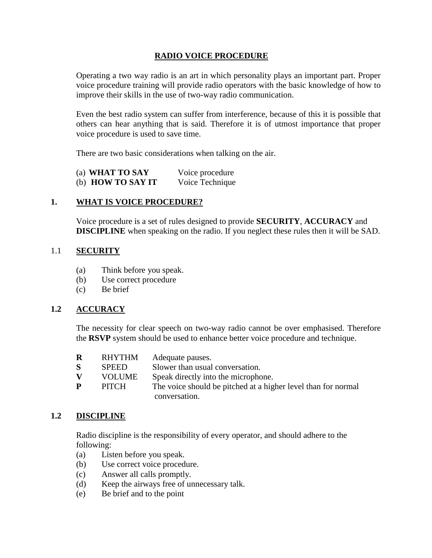### **RADIO VOICE PROCEDURE**

Operating a two way radio is an art in which personality plays an important part. Proper voice procedure training will provide radio operators with the basic knowledge of how to improve their skills in the use of two-way radio communication.

Even the best radio system can suffer from interference, because of this it is possible that others can hear anything that is said. Therefore it is of utmost importance that proper voice procedure is used to save time.

There are two basic considerations when talking on the air.

| (a) WHAT TO SAY   | Voice procedure |
|-------------------|-----------------|
| (b) HOW TO SAY IT | Voice Technique |

#### **1. WHAT IS VOICE PROCEDURE?**

Voice procedure is a set of rules designed to provide **SECURITY**, **ACCURACY** and **DISCIPLINE** when speaking on the radio. If you neglect these rules then it will be SAD.

#### 1.1 **SECURITY**

- (a) Think before you speak.
- (b) Use correct procedure
- (c) Be brief

#### **1.2 ACCURACY**

The necessity for clear speech on two-way radio cannot be over emphasised. Therefore the **RSVP** system should be used to enhance better voice procedure and technique.

| $\bf{R}$ | RHYTHM       | Adequate pauses.                                              |
|----------|--------------|---------------------------------------------------------------|
| S.       | <b>SPEED</b> | Slower than usual conversation.                               |
| V        | VOLUME       | Speak directly into the microphone.                           |
| P        | PITCH        | The voice should be pitched at a higher level than for normal |
|          |              | conversation.                                                 |

#### **1.2 DISCIPLINE**

Radio discipline is the responsibility of every operator, and should adhere to the following:

- (a) Listen before you speak.
- (b) Use correct voice procedure.
- (c) Answer all calls promptly.
- (d) Keep the airways free of unnecessary talk.
- (e) Be brief and to the point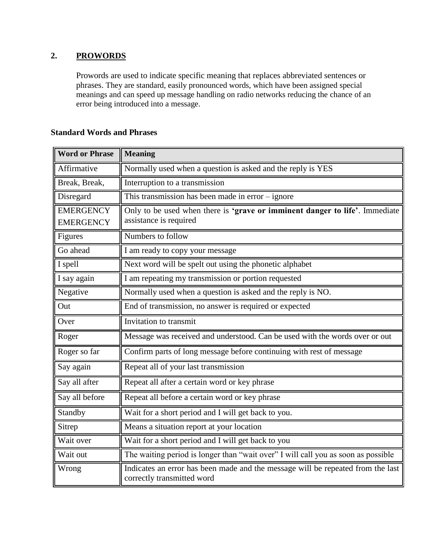# **2. PROWORDS**

Prowords are used to indicate specific meaning that replaces abbreviated sentences or phrases. They are standard, easily pronounced words, which have been assigned special meanings and can speed up message handling on radio networks reducing the chance of an error being introduced into a message.

| <b>Word or Phrase</b> | <b>Meaning</b>                                                                                                |  |  |  |
|-----------------------|---------------------------------------------------------------------------------------------------------------|--|--|--|
| Affirmative           | Normally used when a question is asked and the reply is YES                                                   |  |  |  |
| Break, Break,         | Interruption to a transmission                                                                                |  |  |  |
| Disregard             | This transmission has been made in $error - ignore$                                                           |  |  |  |
| <b>EMERGENCY</b>      | Only to be used when there is 'grave or imminent danger to life'. Immediate                                   |  |  |  |
| <b>EMERGENCY</b>      | assistance is required                                                                                        |  |  |  |
| Figures               | Numbers to follow                                                                                             |  |  |  |
| Go ahead              | I am ready to copy your message                                                                               |  |  |  |
| I spell               | Next word will be spelt out using the phonetic alphabet                                                       |  |  |  |
| I say again           | I am repeating my transmission or portion requested                                                           |  |  |  |
| Negative              | Normally used when a question is asked and the reply is NO.                                                   |  |  |  |
| Out                   | End of transmission, no answer is required or expected                                                        |  |  |  |
| Over                  | Invitation to transmit                                                                                        |  |  |  |
| Roger                 | Message was received and understood. Can be used with the words over or out                                   |  |  |  |
| Roger so far          | Confirm parts of long message before continuing with rest of message                                          |  |  |  |
| Say again             | Repeat all of your last transmission                                                                          |  |  |  |
| Say all after         | Repeat all after a certain word or key phrase                                                                 |  |  |  |
| Say all before        | Repeat all before a certain word or key phrase                                                                |  |  |  |
| Standby               | Wait for a short period and I will get back to you.                                                           |  |  |  |
| Sitrep                | Means a situation report at your location                                                                     |  |  |  |
| Wait over             | Wait for a short period and I will get back to you                                                            |  |  |  |
| Wait out              | The waiting period is longer than "wait over" I will call you as soon as possible                             |  |  |  |
| Wrong                 | Indicates an error has been made and the message will be repeated from the last<br>correctly transmitted word |  |  |  |

# **Standard Words and Phrases**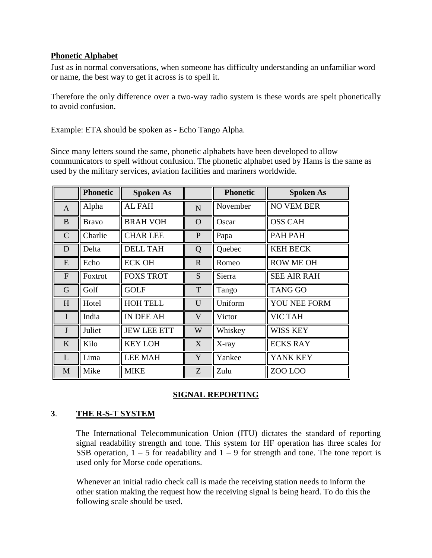### **Phonetic Alphabet**

Just as in normal conversations, when someone has difficulty understanding an unfamiliar word or name, the best way to get it across is to spell it.

Therefore the only difference over a two-way radio system is these words are spelt phonetically to avoid confusion.

Example: ETA should be spoken as - Echo Tango Alpha.

Since many letters sound the same, phonetic alphabets have been developed to allow communicators to spell without confusion. The phonetic alphabet used by Hams is the same as used by the military services, aviation facilities and mariners worldwide.

|                | <b>Phonetic</b> | <b>Spoken As</b>   |              | <b>Phonetic</b> | <b>Spoken As</b>   |
|----------------|-----------------|--------------------|--------------|-----------------|--------------------|
| $\mathbf{A}$   | Alpha           | <b>AL FAH</b>      | $\mathbf N$  | November        | <b>NO VEM BER</b>  |
| $\bf{B}$       | <b>Bravo</b>    | <b>BRAH VOH</b>    | $\mathbf{O}$ | Oscar           | <b>OSS CAH</b>     |
| $\mathbf C$    | Charlie         | <b>CHAR LEE</b>    | $\mathbf{P}$ | Papa            | PAH PAH            |
| D              | Delta           | <b>DELL TAH</b>    | Q            | Quebec          | <b>KEH BECK</b>    |
| E              | Echo            | <b>ECK OH</b>      | $\mathbf{R}$ | Romeo           | <b>ROW ME OH</b>   |
| $\overline{F}$ | Foxtrot         | <b>FOXS TROT</b>   | S            | Sierra          | <b>SEE AIR RAH</b> |
| G              | Golf            | <b>GOLF</b>        | T            | Tango           | <b>TANG GO</b>     |
| H              | Hotel           | <b>HOH TELL</b>    | U            | Uniform         | YOU NEE FORM       |
| $\mathbf I$    | India           | IN DEE AH          | V            | Victor          | <b>VIC TAH</b>     |
| $\mathbf{J}$   | Juliet          | <b>JEW LEE ETT</b> | W            | Whiskey         | WISS KEY           |
| K              | Kilo            | <b>KEY LOH</b>     | X            | X-ray           | <b>ECKS RAY</b>    |
| L              | Lima            | <b>LEE MAH</b>     | Y            | Yankee          | YANK KEY           |
| $\mathbf{M}$   | Mike            | <b>MIKE</b>        | Z            | Zulu            | ZOO LOO            |

## **SIGNAL REPORTING**

## **3**. **THE R-S-T SYSTEM**

The International Telecommunication Union (ITU) dictates the standard of reporting signal readability strength and tone. This system for HF operation has three scales for SSB operation,  $1 - 5$  for readability and  $1 - 9$  for strength and tone. The tone report is used only for Morse code operations.

Whenever an initial radio check call is made the receiving station needs to inform the other station making the request how the receiving signal is being heard. To do this the following scale should be used.